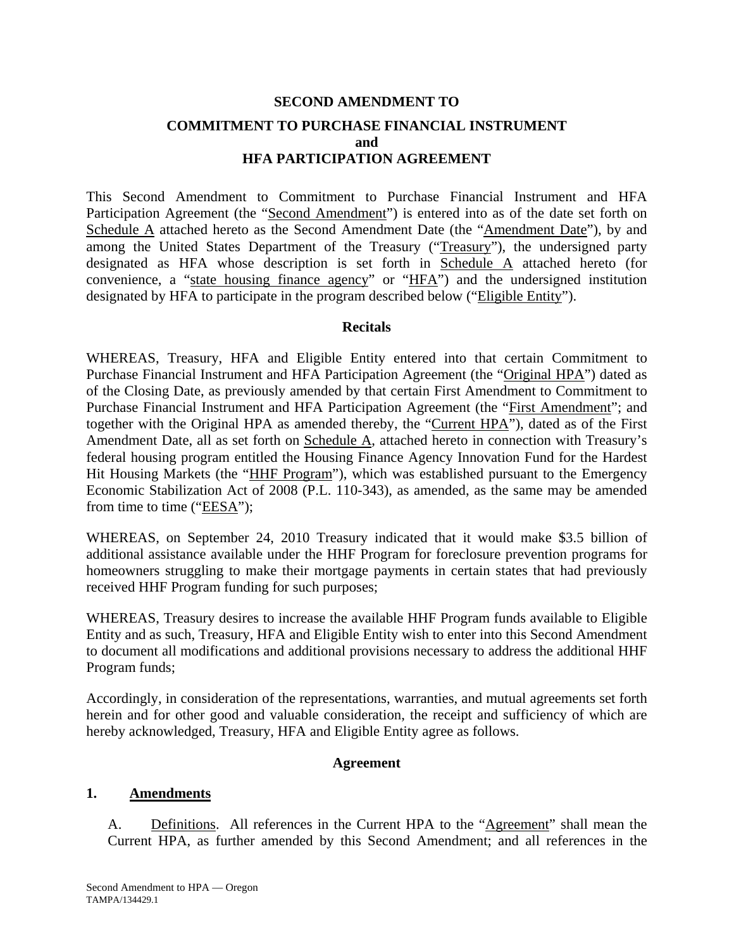# **SECOND AMENDMENT TO COMMITMENT TO PURCHASE FINANCIAL INSTRUMENT and HFA PARTICIPATION AGREEMENT**

This Second Amendment to Commitment to Purchase Financial Instrument and HFA Participation Agreement (the "Second Amendment") is entered into as of the date set forth on Schedule A attached hereto as the Second Amendment Date (the "Amendment Date"), by and among the United States Department of the Treasury ("Treasury"), the undersigned party designated as HFA whose description is set forth in Schedule A attached hereto (for convenience, a "state housing finance agency" or "HFA") and the undersigned institution designated by HFA to participate in the program described below ("Eligible Entity").

## **Recitals**

WHEREAS, Treasury, HFA and Eligible Entity entered into that certain Commitment to Purchase Financial Instrument and HFA Participation Agreement (the "Original HPA") dated as of the Closing Date, as previously amended by that certain First Amendment to Commitment to Purchase Financial Instrument and HFA Participation Agreement (the "First Amendment"; and together with the Original HPA as amended thereby, the "Current HPA"), dated as of the First Amendment Date, all as set forth on Schedule A, attached hereto in connection with Treasury's federal housing program entitled the Housing Finance Agency Innovation Fund for the Hardest Hit Housing Markets (the "HHF Program"), which was established pursuant to the Emergency Economic Stabilization Act of 2008 (P.L. 110-343), as amended, as the same may be amended from time to time ("EESA");

WHEREAS, on September 24, 2010 Treasury indicated that it would make \$3.5 billion of additional assistance available under the HHF Program for foreclosure prevention programs for homeowners struggling to make their mortgage payments in certain states that had previously received HHF Program funding for such purposes;

WHEREAS, Treasury desires to increase the available HHF Program funds available to Eligible Entity and as such, Treasury, HFA and Eligible Entity wish to enter into this Second Amendment to document all modifications and additional provisions necessary to address the additional HHF Program funds;

Accordingly, in consideration of the representations, warranties, and mutual agreements set forth herein and for other good and valuable consideration, the receipt and sufficiency of which are hereby acknowledged, Treasury, HFA and Eligible Entity agree as follows.

## **Agreement**

## **1. Amendments**

A. Definitions. All references in the Current HPA to the "Agreement" shall mean the Current HPA, as further amended by this Second Amendment; and all references in the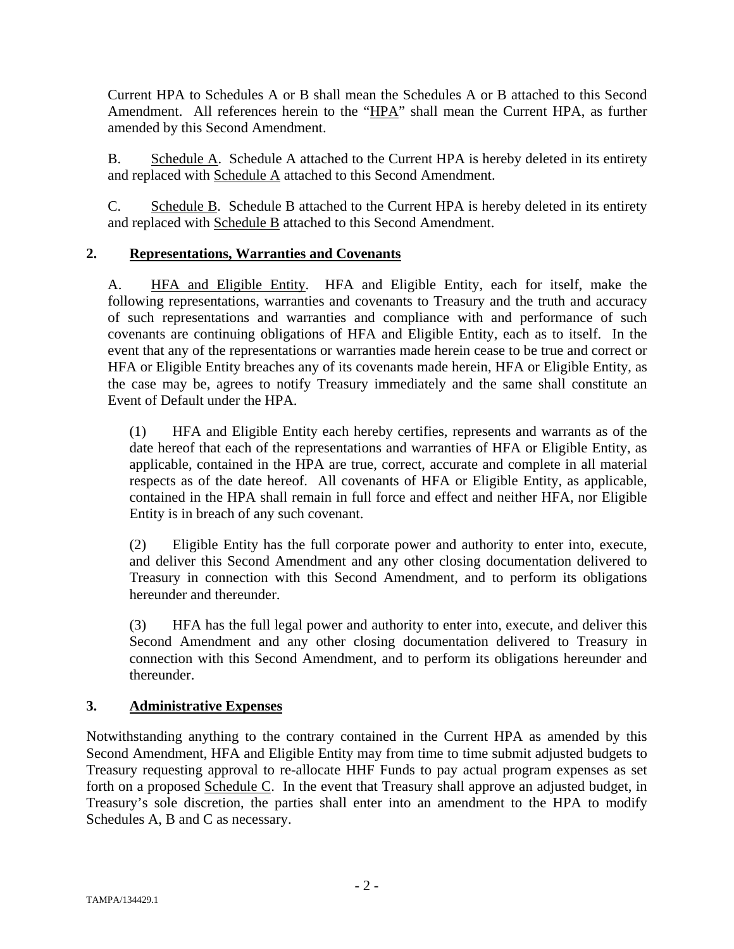Current HPA to Schedules A or B shall mean the Schedules A or B attached to this Second Amendment. All references herein to the "HPA" shall mean the Current HPA, as further amended by this Second Amendment.

B. Schedule A. Schedule A attached to the Current HPA is hereby deleted in its entirety and replaced with Schedule A attached to this Second Amendment.

C. Schedule B. Schedule B attached to the Current HPA is hereby deleted in its entirety and replaced with Schedule B attached to this Second Amendment.

# **2. Representations, Warranties and Covenants**

A. HFA and Eligible Entity. HFA and Eligible Entity, each for itself, make the following representations, warranties and covenants to Treasury and the truth and accuracy of such representations and warranties and compliance with and performance of such covenants are continuing obligations of HFA and Eligible Entity, each as to itself. In the event that any of the representations or warranties made herein cease to be true and correct or HFA or Eligible Entity breaches any of its covenants made herein, HFA or Eligible Entity, as the case may be, agrees to notify Treasury immediately and the same shall constitute an Event of Default under the HPA.

(1) HFA and Eligible Entity each hereby certifies, represents and warrants as of the date hereof that each of the representations and warranties of HFA or Eligible Entity, as applicable, contained in the HPA are true, correct, accurate and complete in all material respects as of the date hereof. All covenants of HFA or Eligible Entity, as applicable, contained in the HPA shall remain in full force and effect and neither HFA, nor Eligible Entity is in breach of any such covenant.

(2) Eligible Entity has the full corporate power and authority to enter into, execute, and deliver this Second Amendment and any other closing documentation delivered to Treasury in connection with this Second Amendment, and to perform its obligations hereunder and thereunder.

(3) HFA has the full legal power and authority to enter into, execute, and deliver this Second Amendment and any other closing documentation delivered to Treasury in connection with this Second Amendment, and to perform its obligations hereunder and thereunder.

# **3. Administrative Expenses**

Notwithstanding anything to the contrary contained in the Current HPA as amended by this Second Amendment, HFA and Eligible Entity may from time to time submit adjusted budgets to Treasury requesting approval to re-allocate HHF Funds to pay actual program expenses as set forth on a proposed Schedule C. In the event that Treasury shall approve an adjusted budget, in Treasury's sole discretion, the parties shall enter into an amendment to the HPA to modify Schedules A, B and C as necessary.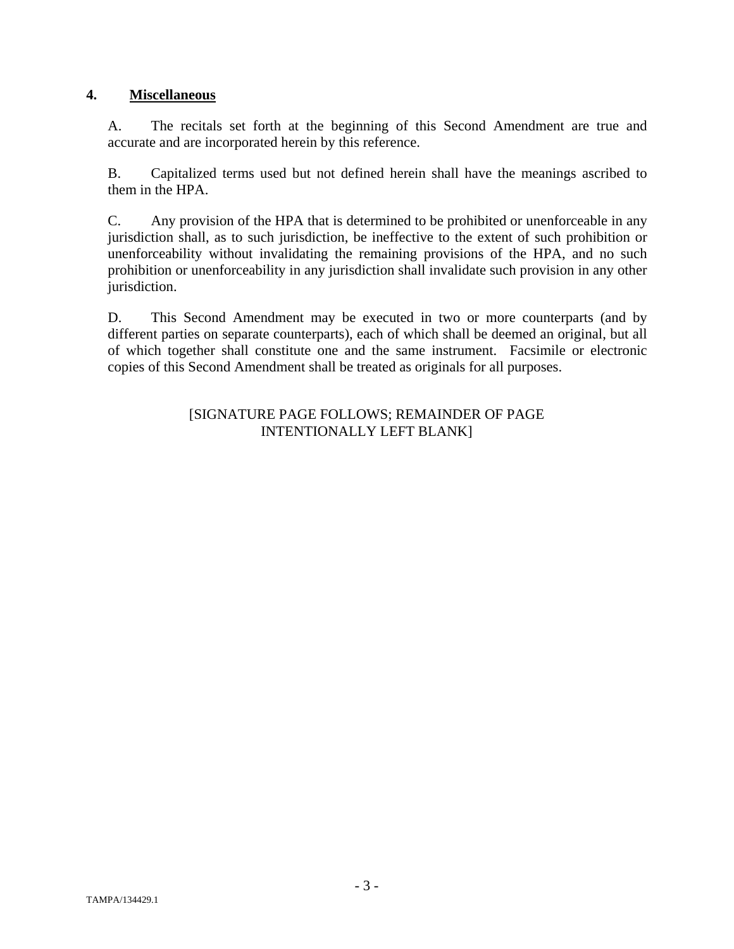# **4. Miscellaneous**

A. The recitals set forth at the beginning of this Second Amendment are true and accurate and are incorporated herein by this reference.

B. Capitalized terms used but not defined herein shall have the meanings ascribed to them in the HPA.

C. Any provision of the HPA that is determined to be prohibited or unenforceable in any jurisdiction shall, as to such jurisdiction, be ineffective to the extent of such prohibition or unenforceability without invalidating the remaining provisions of the HPA, and no such prohibition or unenforceability in any jurisdiction shall invalidate such provision in any other jurisdiction.

D. This Second Amendment may be executed in two or more counterparts (and by different parties on separate counterparts), each of which shall be deemed an original, but all of which together shall constitute one and the same instrument. Facsimile or electronic copies of this Second Amendment shall be treated as originals for all purposes.

## [SIGNATURE PAGE FOLLOWS; REMAINDER OF PAGE INTENTIONALLY LEFT BLANK]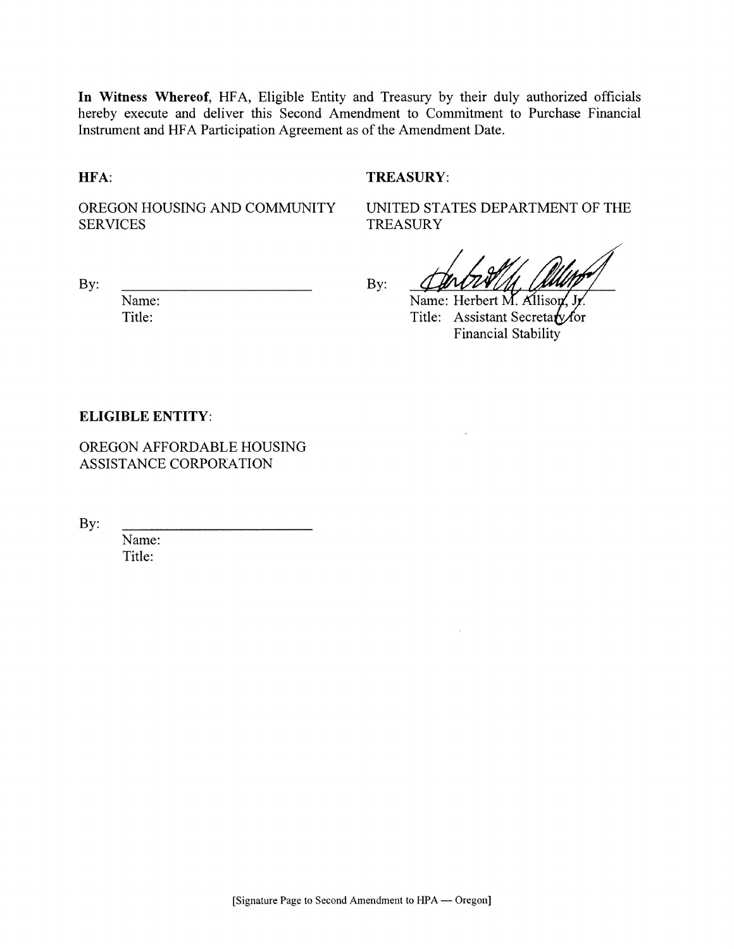In Witness Whereof, HFA, Eligible Entity and Treasury by their duly authorized officials hereby execute and deliver this Second Amendment to Commitment to Purchase Financial Instrument and HFA Participation Agreement as of the Amendment Date.

#### HFA:

## **TREASURY:**

OREGON HOUSING AND COMMUNITY **SERVICES** 

**TREASURY** 

UNITED STATES DEPARTMENT OF THE

By:

Name: Title:

By:

Name: Herbert M. Allison Title: Assistant Secretary for **Financial Stability** 

#### **ELIGIBLE ENTITY:**

OREGON AFFORDABLE HOUSING ASSISTANCE CORPORATION

By:

Name: Title: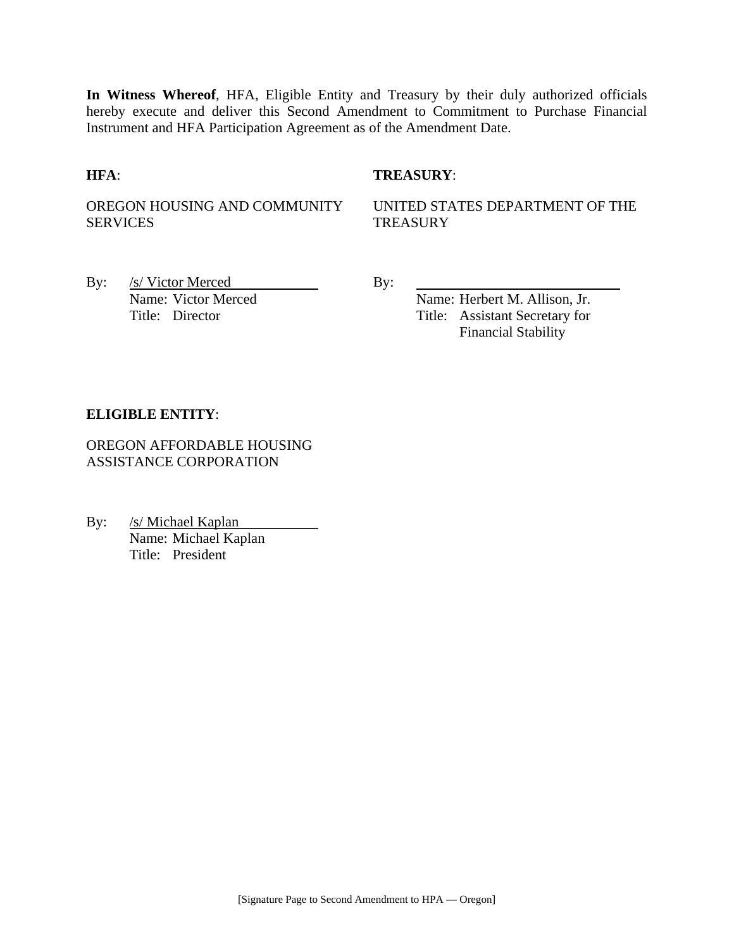**In Witness Whereof**, HFA, Eligible Entity and Treasury by their duly authorized officials hereby execute and deliver this Second Amendment to Commitment to Purchase Financial Instrument and HFA Participation Agreement as of the Amendment Date.

## **HFA**: **TREASURY**:

OREGON HOUSING AND COMMUNITY SERVICES

UNITED STATES DEPARTMENT OF THE **TREASURY** 

By: <u>/s/ Victor Merced By:</u> By:

Name: Victor Merced Name: Herbert M. Allison, Jr. Title: Director Title: Assistant Secretary for Financial Stability

## **ELIGIBLE ENTITY**:

OREGON AFFORDABLE HOUSING ASSISTANCE CORPORATION

By: /s/ Michael Kaplan Name: Michael Kaplan Title: President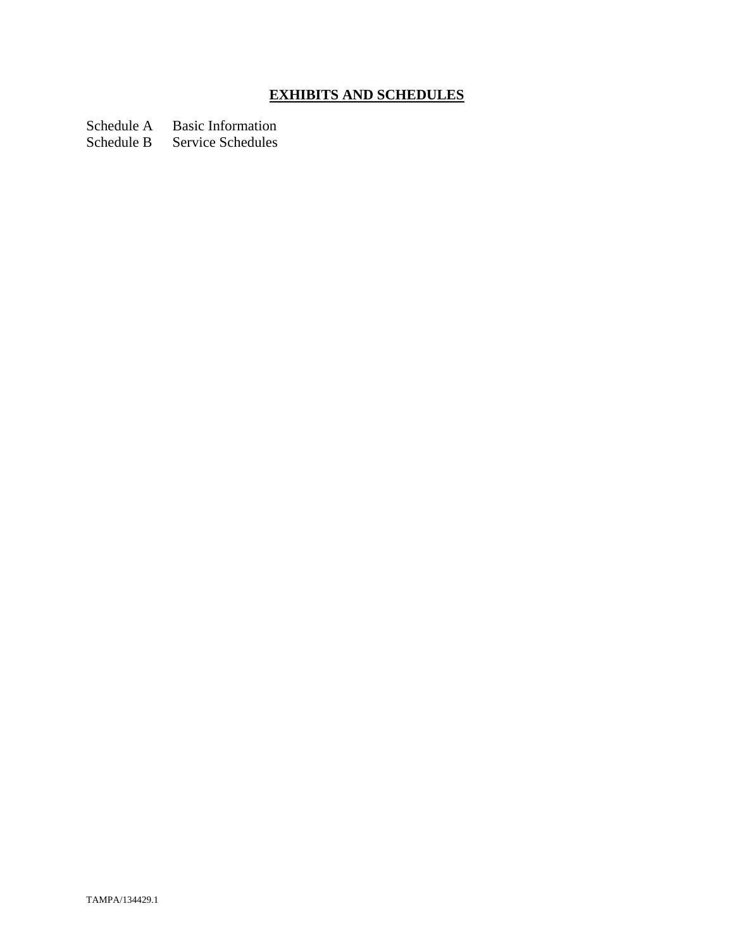# **EXHIBITS AND SCHEDULES**

Schedule A Basic Information

Schedule B Service Schedules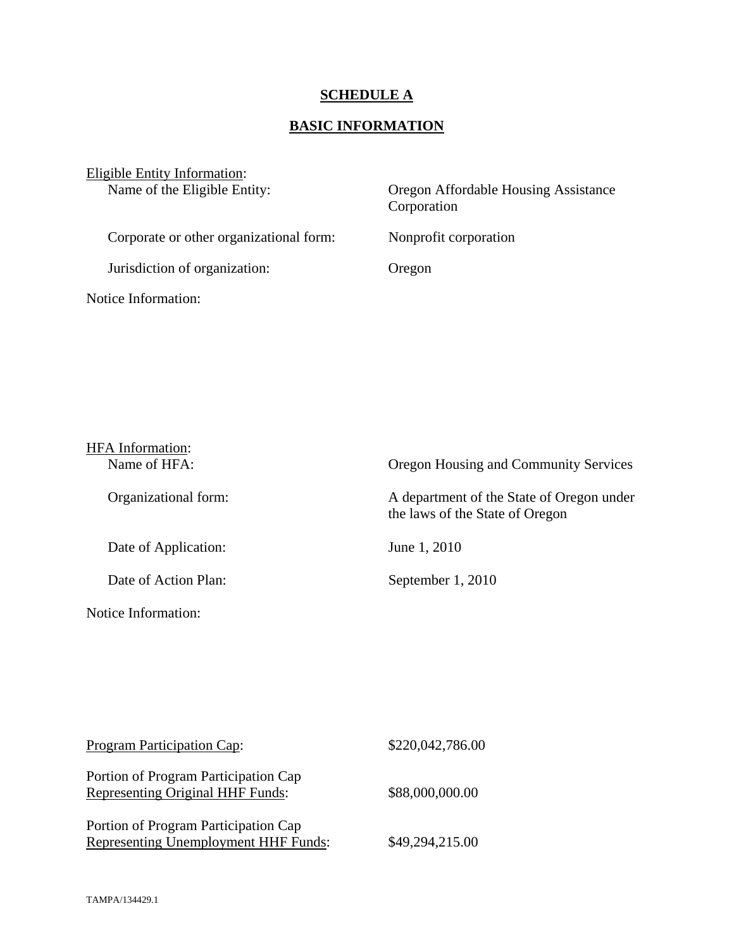# **SCHEDULE A**

# **BASIC INFORMATION**

| Eligible Entity Information:            |                                                     |
|-----------------------------------------|-----------------------------------------------------|
| Name of the Eligible Entity:            | Oregon Affordable Housing Assistance<br>Corporation |
| Corporate or other organizational form: | Nonprofit corporation                               |
| Jurisdiction of organization:           | Oregon                                              |
| <b>Notice Information:</b>              |                                                     |

| <b>HFA</b> Information: |                                                                              |
|-------------------------|------------------------------------------------------------------------------|
| Name of HFA:            | Oregon Housing and Community Services                                        |
| Organizational form:    | A department of the State of Oregon under<br>the laws of the State of Oregon |
| Date of Application:    | June 1, 2010                                                                 |
| Date of Action Plan:    | September 1, 2010                                                            |
| Notice Information:     |                                                                              |

| Program Participation Cap:                                                      | \$220,042,786.00 |
|---------------------------------------------------------------------------------|------------------|
| Portion of Program Participation Cap<br><b>Representing Original HHF Funds:</b> | \$88,000,000.00  |
| Portion of Program Participation Cap<br>Representing Unemployment HHF Funds:    | \$49,294,215.00  |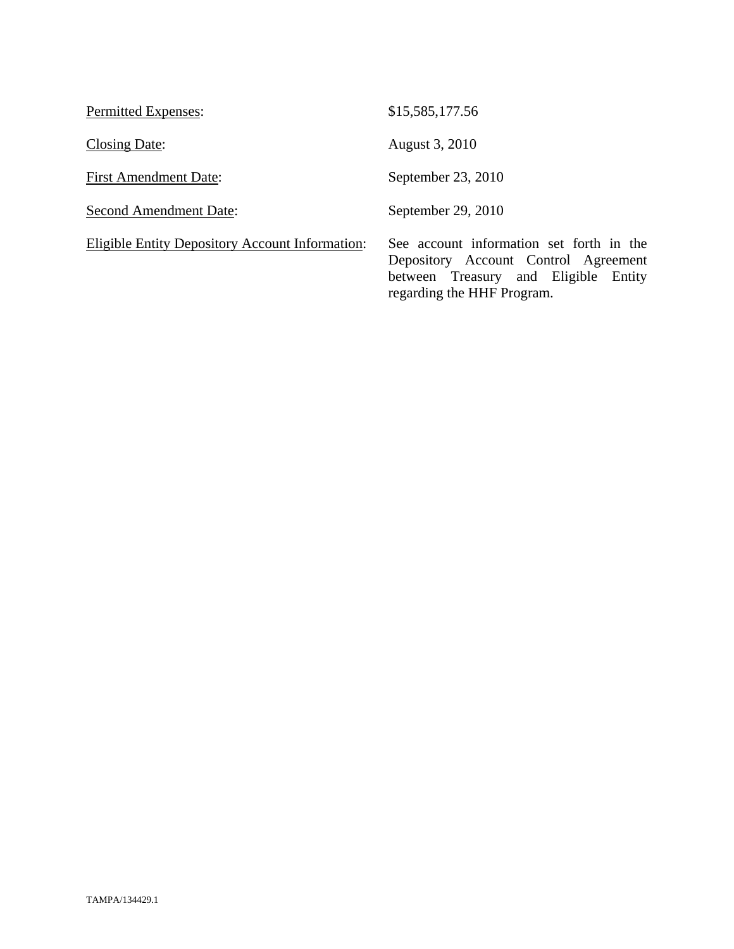| Permitted Expenses:                                    | \$15,585,177.56                                                                                                                                        |
|--------------------------------------------------------|--------------------------------------------------------------------------------------------------------------------------------------------------------|
| Closing Date:                                          | August 3, 2010                                                                                                                                         |
| <b>First Amendment Date:</b>                           | September 23, 2010                                                                                                                                     |
| <b>Second Amendment Date:</b>                          | September 29, 2010                                                                                                                                     |
| <b>Eligible Entity Depository Account Information:</b> | See account information set forth in the<br>Depository Account Control Agreement<br>between Treasury and Eligible Entity<br>regarding the HHF Program. |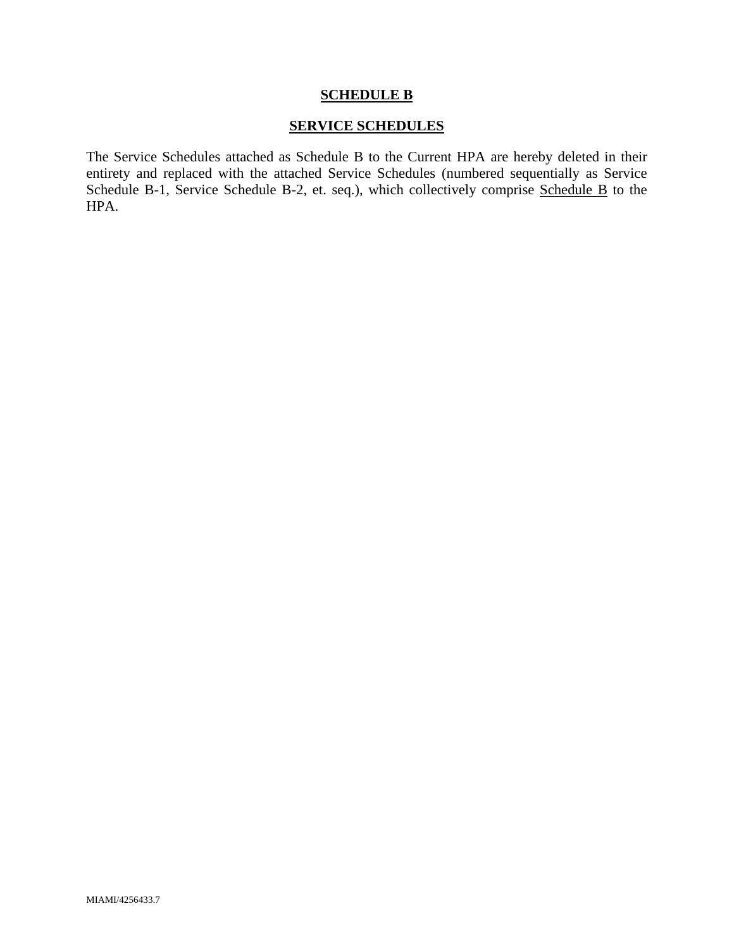#### **SCHEDULE B**

## **SERVICE SCHEDULES**

The Service Schedules attached as Schedule B to the Current HPA are hereby deleted in their entirety and replaced with the attached Service Schedules (numbered sequentially as Service Schedule B-1, Service Schedule B-2, et. seq.), which collectively comprise Schedule B to the HPA.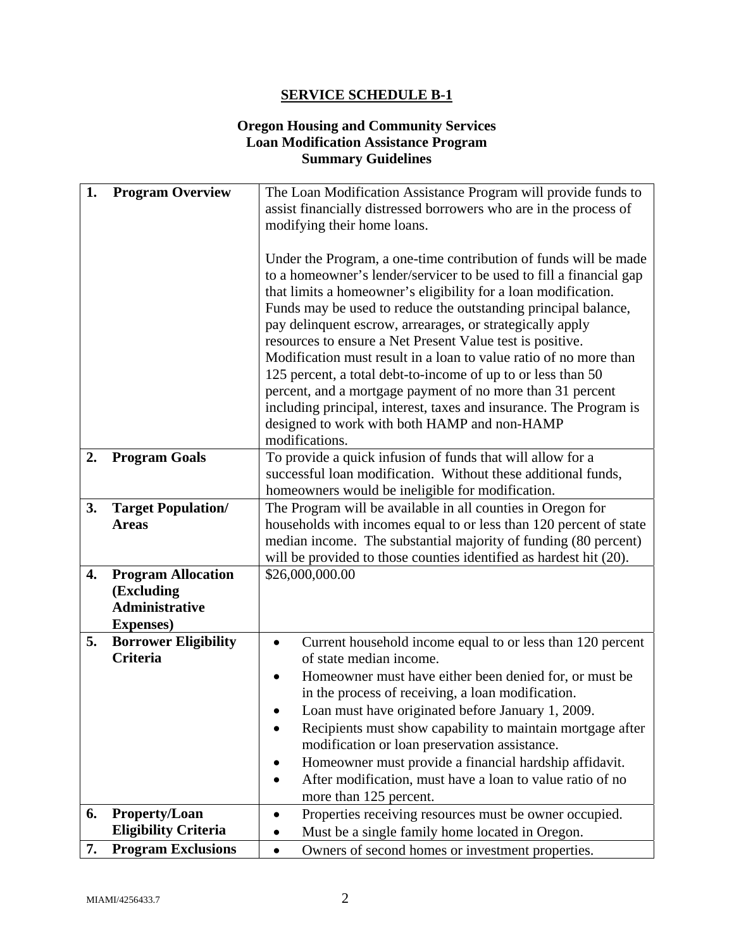# **Oregon Housing and Community Services Loan Modification Assistance Program Summary Guidelines**

| 1. | <b>Program Overview</b>     | The Loan Modification Assistance Program will provide funds to                                                                          |
|----|-----------------------------|-----------------------------------------------------------------------------------------------------------------------------------------|
|    |                             | assist financially distressed borrowers who are in the process of                                                                       |
|    |                             | modifying their home loans.                                                                                                             |
|    |                             |                                                                                                                                         |
|    |                             | Under the Program, a one-time contribution of funds will be made<br>to a homeowner's lender/servicer to be used to fill a financial gap |
|    |                             | that limits a homeowner's eligibility for a loan modification.                                                                          |
|    |                             | Funds may be used to reduce the outstanding principal balance,                                                                          |
|    |                             | pay delinquent escrow, arrearages, or strategically apply                                                                               |
|    |                             | resources to ensure a Net Present Value test is positive.                                                                               |
|    |                             | Modification must result in a loan to value ratio of no more than                                                                       |
|    |                             | 125 percent, a total debt-to-income of up to or less than 50                                                                            |
|    |                             | percent, and a mortgage payment of no more than 31 percent                                                                              |
|    |                             | including principal, interest, taxes and insurance. The Program is                                                                      |
|    |                             | designed to work with both HAMP and non-HAMP                                                                                            |
|    |                             | modifications.                                                                                                                          |
| 2. | <b>Program Goals</b>        | To provide a quick infusion of funds that will allow for a                                                                              |
|    |                             | successful loan modification. Without these additional funds,                                                                           |
| 3. | <b>Target Population/</b>   | homeowners would be ineligible for modification.<br>The Program will be available in all counties in Oregon for                         |
|    | <b>Areas</b>                | households with incomes equal to or less than 120 percent of state                                                                      |
|    |                             | median income. The substantial majority of funding (80 percent)                                                                         |
|    |                             | will be provided to those counties identified as hardest hit (20).                                                                      |
| 4. | <b>Program Allocation</b>   | \$26,000,000.00                                                                                                                         |
|    | (Excluding                  |                                                                                                                                         |
|    | <b>Administrative</b>       |                                                                                                                                         |
|    | <b>Expenses</b> )           |                                                                                                                                         |
| 5. | <b>Borrower Eligibility</b> | Current household income equal to or less than 120 percent                                                                              |
|    | <b>Criteria</b>             | of state median income.                                                                                                                 |
|    |                             | Homeowner must have either been denied for, or must be                                                                                  |
|    |                             | in the process of receiving, a loan modification.                                                                                       |
|    |                             | Loan must have originated before January 1, 2009.                                                                                       |
|    |                             | Recipients must show capability to maintain mortgage after<br>modification or loan preservation assistance.                             |
|    |                             | Homeowner must provide a financial hardship affidavit.                                                                                  |
|    |                             | After modification, must have a loan to value ratio of no                                                                               |
|    |                             | more than 125 percent.                                                                                                                  |
| 6. | <b>Property/Loan</b>        | Properties receiving resources must be owner occupied.                                                                                  |
|    | <b>Eligibility Criteria</b> | Must be a single family home located in Oregon.                                                                                         |
| 7. | <b>Program Exclusions</b>   | Owners of second homes or investment properties.<br>$\bullet$                                                                           |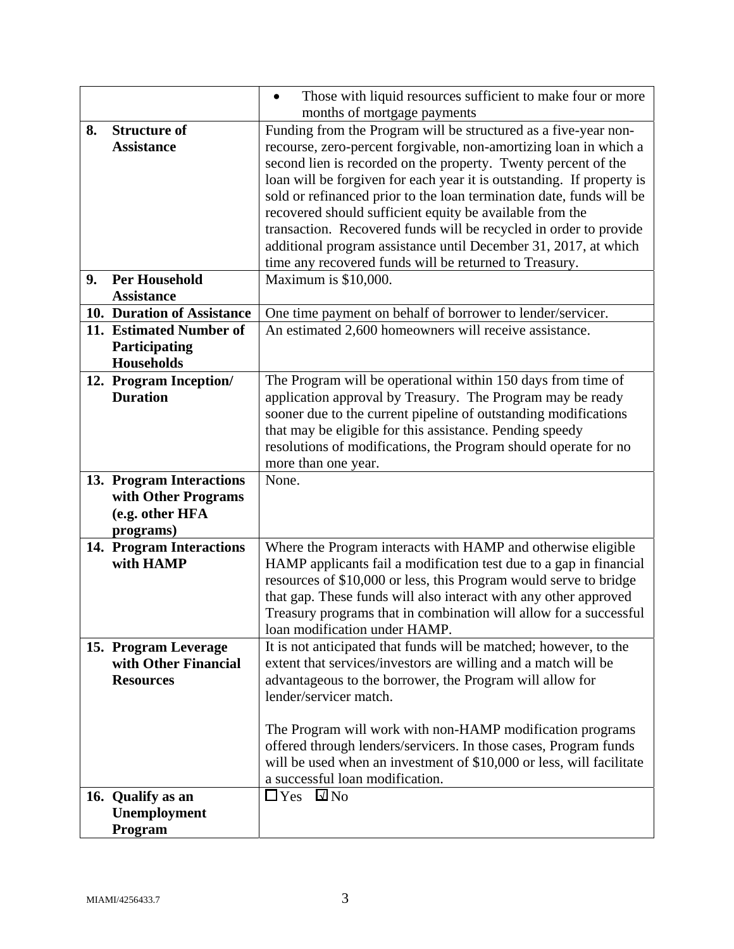|    |                                                 | Those with liquid resources sufficient to make four or more<br>$\bullet$                                             |
|----|-------------------------------------------------|----------------------------------------------------------------------------------------------------------------------|
|    |                                                 | months of mortgage payments                                                                                          |
| 8. | <b>Structure of</b>                             | Funding from the Program will be structured as a five-year non-                                                      |
|    | <b>Assistance</b>                               | recourse, zero-percent forgivable, non-amortizing loan in which a                                                    |
|    |                                                 | second lien is recorded on the property. Twenty percent of the                                                       |
|    |                                                 | loan will be forgiven for each year it is outstanding. If property is                                                |
|    |                                                 | sold or refinanced prior to the loan termination date, funds will be                                                 |
|    |                                                 | recovered should sufficient equity be available from the                                                             |
|    |                                                 | transaction. Recovered funds will be recycled in order to provide                                                    |
|    |                                                 | additional program assistance until December 31, 2017, at which                                                      |
|    |                                                 | time any recovered funds will be returned to Treasury.                                                               |
| 9. | <b>Per Household</b>                            | Maximum is \$10,000.                                                                                                 |
|    | <b>Assistance</b><br>10. Duration of Assistance |                                                                                                                      |
|    | 11. Estimated Number of                         | One time payment on behalf of borrower to lender/servicer.<br>An estimated 2,600 homeowners will receive assistance. |
|    | Participating                                   |                                                                                                                      |
|    | Households                                      |                                                                                                                      |
|    | 12. Program Inception/                          | The Program will be operational within 150 days from time of                                                         |
|    | <b>Duration</b>                                 | application approval by Treasury. The Program may be ready                                                           |
|    |                                                 | sooner due to the current pipeline of outstanding modifications                                                      |
|    |                                                 | that may be eligible for this assistance. Pending speedy                                                             |
|    |                                                 | resolutions of modifications, the Program should operate for no                                                      |
|    |                                                 | more than one year.                                                                                                  |
|    | 13. Program Interactions                        | None.                                                                                                                |
|    | with Other Programs                             |                                                                                                                      |
|    | (e.g. other HFA                                 |                                                                                                                      |
|    | programs)                                       |                                                                                                                      |
|    | 14. Program Interactions                        | Where the Program interacts with HAMP and otherwise eligible                                                         |
|    | with HAMP                                       | HAMP applicants fail a modification test due to a gap in financial                                                   |
|    |                                                 | resources of \$10,000 or less, this Program would serve to bridge                                                    |
|    |                                                 | that gap. These funds will also interact with any other approved                                                     |
|    |                                                 | Treasury programs that in combination will allow for a successful<br>loan modification under HAMP.                   |
|    | 15. Program Leverage                            | It is not anticipated that funds will be matched; however, to the                                                    |
|    | with Other Financial                            | extent that services/investors are willing and a match will be                                                       |
|    | <b>Resources</b>                                | advantageous to the borrower, the Program will allow for                                                             |
|    |                                                 | lender/servicer match.                                                                                               |
|    |                                                 |                                                                                                                      |
|    |                                                 | The Program will work with non-HAMP modification programs                                                            |
|    |                                                 | offered through lenders/servicers. In those cases, Program funds                                                     |
|    |                                                 | will be used when an investment of \$10,000 or less, will facilitate                                                 |
|    |                                                 | a successful loan modification.                                                                                      |
|    | 16. Qualify as an                               | $\square$ No<br>$\Box$ Yes                                                                                           |
|    | Unemployment                                    |                                                                                                                      |
|    | Program                                         |                                                                                                                      |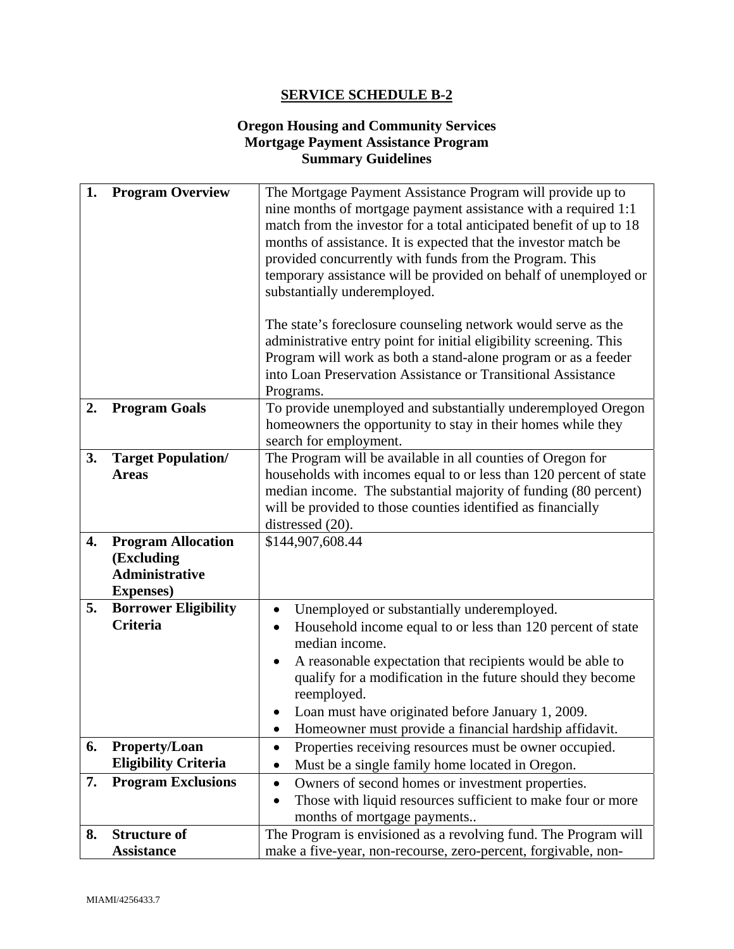# **Oregon Housing and Community Services Mortgage Payment Assistance Program Summary Guidelines**

| 1. | <b>Program Overview</b>     | The Mortgage Payment Assistance Program will provide up to<br>nine months of mortgage payment assistance with a required 1:1<br>match from the investor for a total anticipated benefit of up to 18<br>months of assistance. It is expected that the investor match be<br>provided concurrently with funds from the Program. This<br>temporary assistance will be provided on behalf of unemployed or<br>substantially underemployed. |
|----|-----------------------------|---------------------------------------------------------------------------------------------------------------------------------------------------------------------------------------------------------------------------------------------------------------------------------------------------------------------------------------------------------------------------------------------------------------------------------------|
|    |                             | The state's foreclosure counseling network would serve as the<br>administrative entry point for initial eligibility screening. This<br>Program will work as both a stand-alone program or as a feeder<br>into Loan Preservation Assistance or Transitional Assistance                                                                                                                                                                 |
|    |                             | Programs.                                                                                                                                                                                                                                                                                                                                                                                                                             |
| 2. | <b>Program Goals</b>        | To provide unemployed and substantially underemployed Oregon<br>homeowners the opportunity to stay in their homes while they<br>search for employment.                                                                                                                                                                                                                                                                                |
| 3. | <b>Target Population/</b>   | The Program will be available in all counties of Oregon for                                                                                                                                                                                                                                                                                                                                                                           |
|    | <b>Areas</b>                | households with incomes equal to or less than 120 percent of state                                                                                                                                                                                                                                                                                                                                                                    |
|    |                             | median income. The substantial majority of funding (80 percent)                                                                                                                                                                                                                                                                                                                                                                       |
|    |                             | will be provided to those counties identified as financially<br>distressed (20).                                                                                                                                                                                                                                                                                                                                                      |
| 4. | <b>Program Allocation</b>   | \$144,907,608.44                                                                                                                                                                                                                                                                                                                                                                                                                      |
|    | (Excluding                  |                                                                                                                                                                                                                                                                                                                                                                                                                                       |
|    | <b>Administrative</b>       |                                                                                                                                                                                                                                                                                                                                                                                                                                       |
|    | <b>Expenses</b> )           |                                                                                                                                                                                                                                                                                                                                                                                                                                       |
| 5. | <b>Borrower Eligibility</b> | Unemployed or substantially underemployed.                                                                                                                                                                                                                                                                                                                                                                                            |
|    | <b>Criteria</b>             | Household income equal to or less than 120 percent of state<br>$\bullet$<br>median income.                                                                                                                                                                                                                                                                                                                                            |
|    |                             | A reasonable expectation that recipients would be able to<br>qualify for a modification in the future should they become<br>reemployed.                                                                                                                                                                                                                                                                                               |
|    |                             | Loan must have originated before January 1, 2009.                                                                                                                                                                                                                                                                                                                                                                                     |
|    |                             | Homeowner must provide a financial hardship affidavit.                                                                                                                                                                                                                                                                                                                                                                                |
| 6. | <b>Property/Loan</b>        | Properties receiving resources must be owner occupied.                                                                                                                                                                                                                                                                                                                                                                                |
|    | <b>Eligibility Criteria</b> | Must be a single family home located in Oregon.                                                                                                                                                                                                                                                                                                                                                                                       |
| 7. | <b>Program Exclusions</b>   | Owners of second homes or investment properties.<br>$\bullet$                                                                                                                                                                                                                                                                                                                                                                         |
|    |                             | Those with liquid resources sufficient to make four or more                                                                                                                                                                                                                                                                                                                                                                           |
|    |                             | months of mortgage payments                                                                                                                                                                                                                                                                                                                                                                                                           |
| 8. | <b>Structure of</b>         | The Program is envisioned as a revolving fund. The Program will                                                                                                                                                                                                                                                                                                                                                                       |
|    | <b>Assistance</b>           | make a five-year, non-recourse, zero-percent, forgivable, non-                                                                                                                                                                                                                                                                                                                                                                        |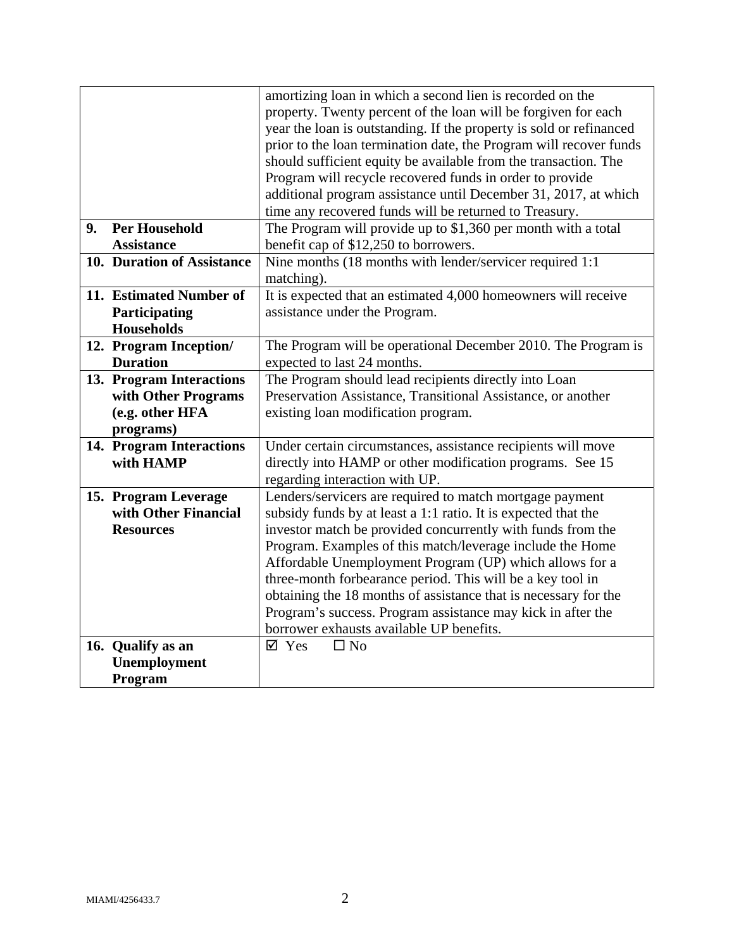|    |                            | amortizing loan in which a second lien is recorded on the           |
|----|----------------------------|---------------------------------------------------------------------|
|    |                            | property. Twenty percent of the loan will be forgiven for each      |
|    |                            | year the loan is outstanding. If the property is sold or refinanced |
|    |                            | prior to the loan termination date, the Program will recover funds  |
|    |                            | should sufficient equity be available from the transaction. The     |
|    |                            |                                                                     |
|    |                            | Program will recycle recovered funds in order to provide            |
|    |                            | additional program assistance until December 31, 2017, at which     |
|    |                            | time any recovered funds will be returned to Treasury.              |
| 9. | <b>Per Household</b>       | The Program will provide up to $$1,360$ per month with a total      |
|    | <b>Assistance</b>          | benefit cap of \$12,250 to borrowers.                               |
|    | 10. Duration of Assistance | Nine months (18 months with lender/servicer required 1:1            |
|    |                            | matching).                                                          |
|    | 11. Estimated Number of    | It is expected that an estimated 4,000 homeowners will receive      |
|    | Participating              | assistance under the Program.                                       |
|    | <b>Households</b>          |                                                                     |
|    | 12. Program Inception/     | The Program will be operational December 2010. The Program is       |
|    | <b>Duration</b>            | expected to last 24 months.                                         |
|    | 13. Program Interactions   | The Program should lead recipients directly into Loan               |
|    | with Other Programs        | Preservation Assistance, Transitional Assistance, or another        |
|    | (e.g. other HFA            | existing loan modification program.                                 |
|    | programs)                  |                                                                     |
|    | 14. Program Interactions   | Under certain circumstances, assistance recipients will move        |
|    | with HAMP                  | directly into HAMP or other modification programs. See 15           |
|    |                            | regarding interaction with UP.                                      |
|    | 15. Program Leverage       | Lenders/servicers are required to match mortgage payment            |
|    | with Other Financial       | subsidy funds by at least a 1:1 ratio. It is expected that the      |
|    | <b>Resources</b>           | investor match be provided concurrently with funds from the         |
|    |                            | Program. Examples of this match/leverage include the Home           |
|    |                            | Affordable Unemployment Program (UP) which allows for a             |
|    |                            | three-month forbearance period. This will be a key tool in          |
|    |                            |                                                                     |
|    |                            | obtaining the 18 months of assistance that is necessary for the     |
|    |                            | Program's success. Program assistance may kick in after the         |
|    |                            | borrower exhausts available UP benefits.                            |
|    | 16. Qualify as an          | $\square$ No<br>$\boxtimes$ Yes                                     |
|    | Unemployment               |                                                                     |
|    | Program                    |                                                                     |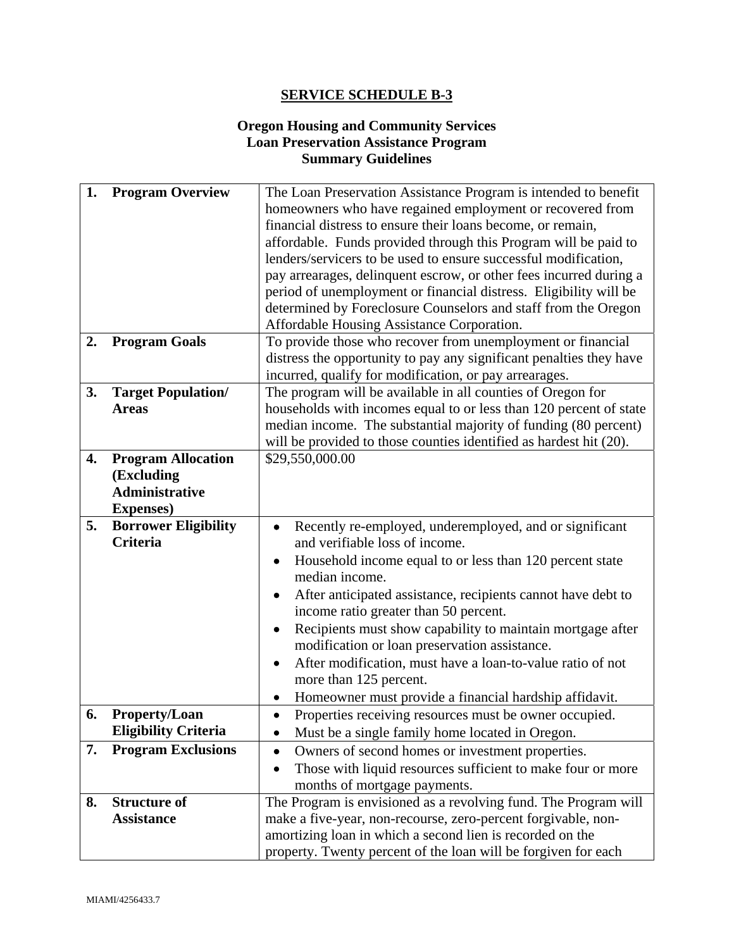# **Oregon Housing and Community Services Loan Preservation Assistance Program Summary Guidelines**

| 1. | <b>Program Overview</b>     | The Loan Preservation Assistance Program is intended to benefit         |
|----|-----------------------------|-------------------------------------------------------------------------|
|    |                             | homeowners who have regained employment or recovered from               |
|    |                             | financial distress to ensure their loans become, or remain,             |
|    |                             | affordable. Funds provided through this Program will be paid to         |
|    |                             | lenders/servicers to be used to ensure successful modification,         |
|    |                             | pay arrearages, delinquent escrow, or other fees incurred during a      |
|    |                             | period of unemployment or financial distress. Eligibility will be       |
|    |                             | determined by Foreclosure Counselors and staff from the Oregon          |
|    |                             | Affordable Housing Assistance Corporation.                              |
| 2. | <b>Program Goals</b>        | To provide those who recover from unemployment or financial             |
|    |                             | distress the opportunity to pay any significant penalties they have     |
|    |                             | incurred, qualify for modification, or pay arrearages.                  |
| 3. | <b>Target Population/</b>   | The program will be available in all counties of Oregon for             |
|    | <b>Areas</b>                | households with incomes equal to or less than 120 percent of state      |
|    |                             | median income. The substantial majority of funding (80 percent)         |
|    |                             | will be provided to those counties identified as hardest hit (20).      |
| 4. | <b>Program Allocation</b>   | \$29,550,000.00                                                         |
|    | (Excluding                  |                                                                         |
|    | <b>Administrative</b>       |                                                                         |
|    | <b>Expenses</b> )           |                                                                         |
| 5. | <b>Borrower Eligibility</b> | Recently re-employed, underemployed, and or significant                 |
|    | Criteria                    | and verifiable loss of income.                                          |
|    |                             | Household income equal to or less than 120 percent state                |
|    |                             | median income.                                                          |
|    |                             | After anticipated assistance, recipients cannot have debt to            |
|    |                             | income ratio greater than 50 percent.                                   |
|    |                             | Recipients must show capability to maintain mortgage after              |
|    |                             | modification or loan preservation assistance.                           |
|    |                             | After modification, must have a loan-to-value ratio of not<br>$\bullet$ |
|    |                             | more than 125 percent.                                                  |
|    |                             | Homeowner must provide a financial hardship affidavit.                  |
| 6. | <b>Property/Loan</b>        | Properties receiving resources must be owner occupied.                  |
|    | <b>Eligibility Criteria</b> | Must be a single family home located in Oregon.                         |
| 7. | <b>Program Exclusions</b>   | Owners of second homes or investment properties.<br>$\bullet$           |
|    |                             | Those with liquid resources sufficient to make four or more             |
|    |                             | months of mortgage payments.                                            |
| 8. | <b>Structure of</b>         | The Program is envisioned as a revolving fund. The Program will         |
|    | <b>Assistance</b>           | make a five-year, non-recourse, zero-percent forgivable, non-           |
|    |                             | amortizing loan in which a second lien is recorded on the               |
|    |                             |                                                                         |
|    |                             | property. Twenty percent of the loan will be forgiven for each          |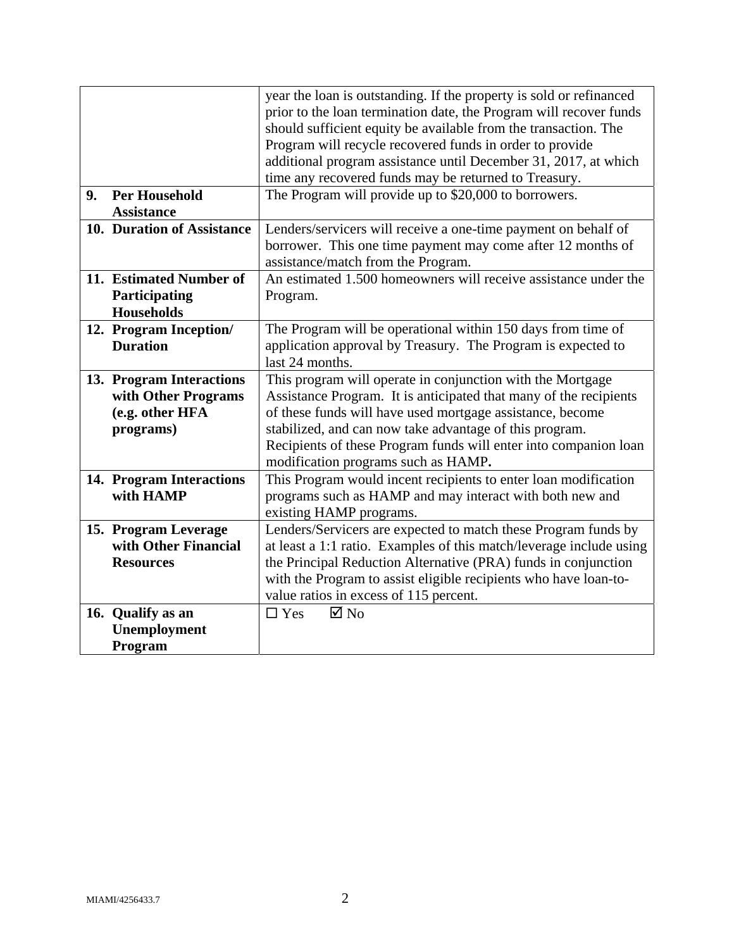|    |                                           | year the loan is outstanding. If the property is sold or refinanced<br>prior to the loan termination date, the Program will recover funds |
|----|-------------------------------------------|-------------------------------------------------------------------------------------------------------------------------------------------|
|    |                                           | should sufficient equity be available from the transaction. The                                                                           |
|    |                                           | Program will recycle recovered funds in order to provide                                                                                  |
|    |                                           | additional program assistance until December 31, 2017, at which                                                                           |
|    |                                           | time any recovered funds may be returned to Treasury.                                                                                     |
| 9. | <b>Per Household</b><br><b>Assistance</b> | The Program will provide up to \$20,000 to borrowers.                                                                                     |
|    | 10. Duration of Assistance                |                                                                                                                                           |
|    |                                           | Lenders/servicers will receive a one-time payment on behalf of                                                                            |
|    |                                           | borrower. This one time payment may come after 12 months of                                                                               |
|    |                                           | assistance/match from the Program.                                                                                                        |
|    | 11. Estimated Number of                   | An estimated 1.500 homeowners will receive assistance under the                                                                           |
|    | Participating                             | Program.                                                                                                                                  |
|    | <b>Households</b>                         |                                                                                                                                           |
|    | 12. Program Inception/                    | The Program will be operational within 150 days from time of                                                                              |
|    | <b>Duration</b>                           | application approval by Treasury. The Program is expected to                                                                              |
|    |                                           | last 24 months.                                                                                                                           |
|    | 13. Program Interactions                  | This program will operate in conjunction with the Mortgage                                                                                |
|    | with Other Programs                       | Assistance Program. It is anticipated that many of the recipients                                                                         |
|    | (e.g. other HFA                           | of these funds will have used mortgage assistance, become                                                                                 |
|    | programs)                                 | stabilized, and can now take advantage of this program.                                                                                   |
|    |                                           | Recipients of these Program funds will enter into companion loan                                                                          |
|    |                                           | modification programs such as HAMP.                                                                                                       |
|    | 14. Program Interactions                  | This Program would incent recipients to enter loan modification                                                                           |
|    | with HAMP                                 | programs such as HAMP and may interact with both new and                                                                                  |
|    |                                           | existing HAMP programs.                                                                                                                   |
|    | 15. Program Leverage                      | Lenders/Servicers are expected to match these Program funds by                                                                            |
|    | with Other Financial                      | at least a 1:1 ratio. Examples of this match/leverage include using                                                                       |
|    | <b>Resources</b>                          | the Principal Reduction Alternative (PRA) funds in conjunction                                                                            |
|    |                                           | with the Program to assist eligible recipients who have loan-to-                                                                          |
|    |                                           | value ratios in excess of 115 percent.                                                                                                    |
|    | 16. Qualify as an                         | $\Box$ Yes<br>$\boxtimes$ No                                                                                                              |
|    | Unemployment                              |                                                                                                                                           |
|    | Program                                   |                                                                                                                                           |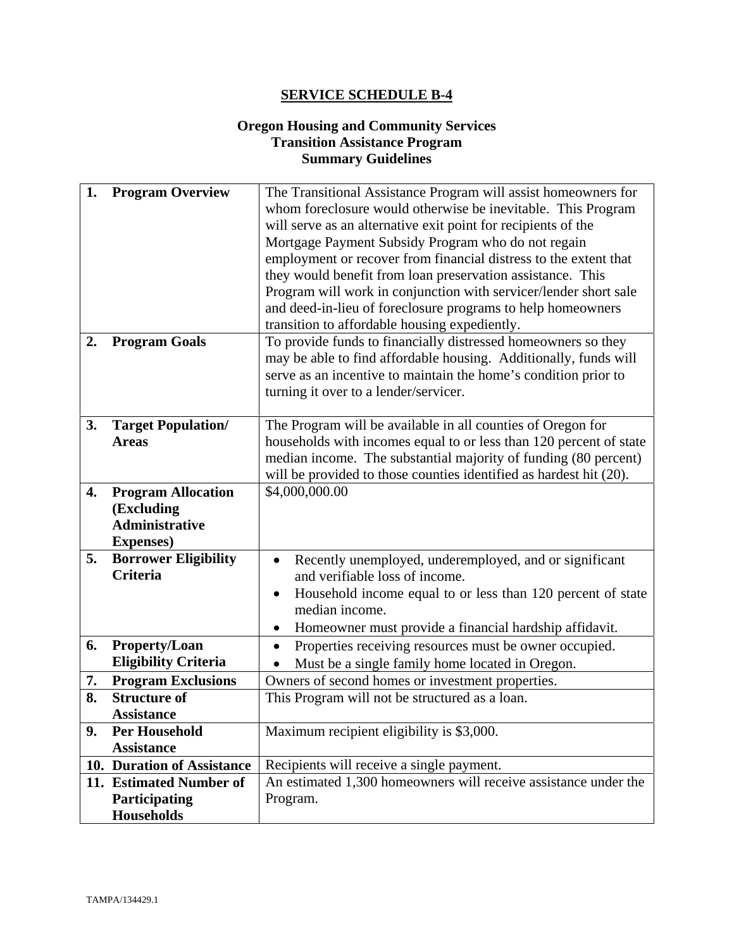# **Oregon Housing and Community Services Transition Assistance Program Summary Guidelines**

| 1.<br>2. | <b>Program Overview</b><br><b>Program Goals</b>                                       | The Transitional Assistance Program will assist homeowners for<br>whom foreclosure would otherwise be inevitable. This Program<br>will serve as an alternative exit point for recipients of the<br>Mortgage Payment Subsidy Program who do not regain<br>employment or recover from financial distress to the extent that<br>they would benefit from loan preservation assistance. This<br>Program will work in conjunction with servicer/lender short sale<br>and deed-in-lieu of foreclosure programs to help homeowners<br>transition to affordable housing expediently.<br>To provide funds to financially distressed homeowners so they |
|----------|---------------------------------------------------------------------------------------|----------------------------------------------------------------------------------------------------------------------------------------------------------------------------------------------------------------------------------------------------------------------------------------------------------------------------------------------------------------------------------------------------------------------------------------------------------------------------------------------------------------------------------------------------------------------------------------------------------------------------------------------|
|          |                                                                                       | may be able to find affordable housing. Additionally, funds will<br>serve as an incentive to maintain the home's condition prior to<br>turning it over to a lender/servicer.                                                                                                                                                                                                                                                                                                                                                                                                                                                                 |
| 3.       | <b>Target Population/</b><br><b>Areas</b>                                             | The Program will be available in all counties of Oregon for<br>households with incomes equal to or less than 120 percent of state<br>median income. The substantial majority of funding (80 percent)<br>will be provided to those counties identified as hardest hit (20).                                                                                                                                                                                                                                                                                                                                                                   |
| 4.       | <b>Program Allocation</b><br>(Excluding<br><b>Administrative</b><br><b>Expenses</b> ) | \$4,000,000.00                                                                                                                                                                                                                                                                                                                                                                                                                                                                                                                                                                                                                               |
| 5.       | <b>Borrower Eligibility</b><br><b>Criteria</b>                                        | Recently unemployed, underemployed, and or significant<br>and verifiable loss of income.<br>Household income equal to or less than 120 percent of state<br>median income.<br>Homeowner must provide a financial hardship affidavit.                                                                                                                                                                                                                                                                                                                                                                                                          |
| 6.       | Property/Loan<br><b>Eligibility Criteria</b>                                          | Properties receiving resources must be owner occupied.<br>Must be a single family home located in Oregon.                                                                                                                                                                                                                                                                                                                                                                                                                                                                                                                                    |
| 7.       | <b>Program Exclusions</b>                                                             | Owners of second homes or investment properties.                                                                                                                                                                                                                                                                                                                                                                                                                                                                                                                                                                                             |
| 8.       | <b>Structure of</b><br><b>Assistance</b>                                              | This Program will not be structured as a loan.                                                                                                                                                                                                                                                                                                                                                                                                                                                                                                                                                                                               |
| 9.       | <b>Per Household</b><br><b>Assistance</b>                                             | Maximum recipient eligibility is \$3,000.                                                                                                                                                                                                                                                                                                                                                                                                                                                                                                                                                                                                    |
|          | 10. Duration of Assistance                                                            | Recipients will receive a single payment.                                                                                                                                                                                                                                                                                                                                                                                                                                                                                                                                                                                                    |
|          | 11. Estimated Number of                                                               | An estimated 1,300 homeowners will receive assistance under the                                                                                                                                                                                                                                                                                                                                                                                                                                                                                                                                                                              |
|          | Participating<br><b>Households</b>                                                    | Program.                                                                                                                                                                                                                                                                                                                                                                                                                                                                                                                                                                                                                                     |